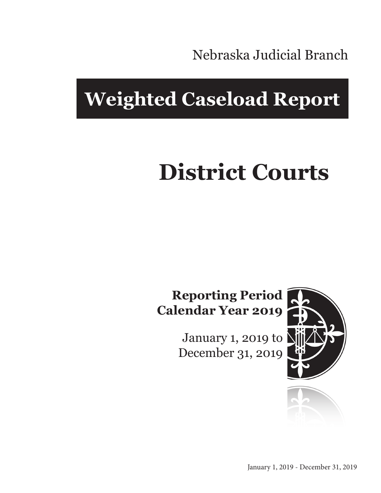Nebraska Judicial Branch

# **Weighted Caseload Report**

# **District Courts**

### **Reporting Period Calendar Year 2019**

January 1, 2019 to December 31, 2019



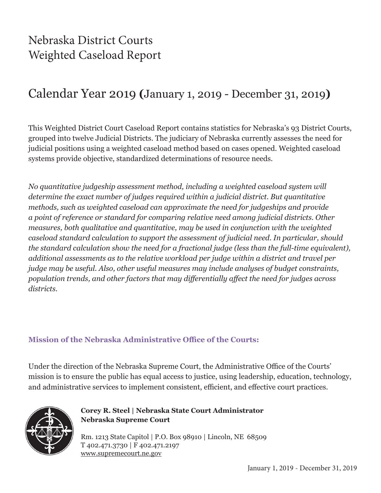### Nebraska District Courts Weighted Caseload Report

### Calendar Year 2019 **(**January 1, 2019 - December 31, 2019**)**

This Weighted District Court Caseload Report contains statistics for Nebraska's 93 District Courts, grouped into twelve Judicial Districts. The judiciary of Nebraska currently assesses the need for judicial positions using a weighted caseload method based on cases opened. Weighted caseload systems provide objective, standardized determinations of resource needs.

*No quantitative judgeship assessment method, including a weighted caseload system will determine the exact number of judges required within a judicial district. But quantitative methods, such as weighted caseload can approximate the need for judgeships and provide a point of reference or standard for comparing relative need among judicial districts. Other measures, both qualitative and quantitative, may be used in conjunction with the weighted caseload standard calculation to support the assessment of judicial need. In particular, should the standard calculation show the need for a fractional judge (less than the full-time equivalent), additional assessments as to the relative workload per judge within a district and travel per judge may be useful. Also, other useful measures may include analyses of budget constraints, population trends, and other factors that may differentially affect the need for judges across districts.*

#### **Mission of the Nebraska Administrative Office of the Courts:**

Under the direction of the Nebraska Supreme Court, the Administrative Office of the Courts' mission is to ensure the public has equal access to justice, using leadership, education, technology, and administrative services to implement consistent, efficient, and effective court practices.



**Corey R. Steel | Nebraska State Court Administrator Nebraska Supreme Court**

Rm. 1213 State Capitol | P.O. Box 98910 | Lincoln, NE 68509 T 402.471.3730 | F 402.471.2197 www.supremecourt.ne.gov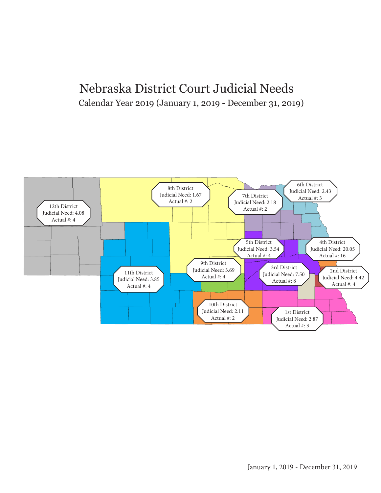#### Nebraska District Court Judicial Needs Calendar Year 2019 (January 1, 2019 - December 31, 2019)

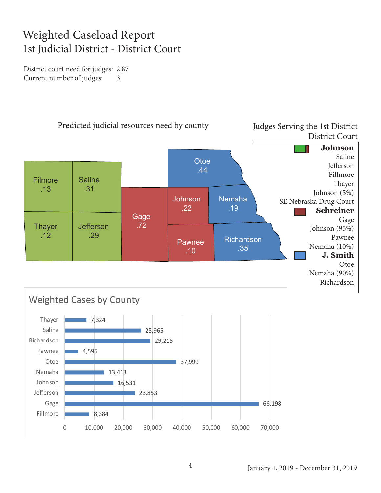#### Weighted Caseload Report 1st Judicial District - District Court

District court need for judges: 2.87 Current number of judges: 3

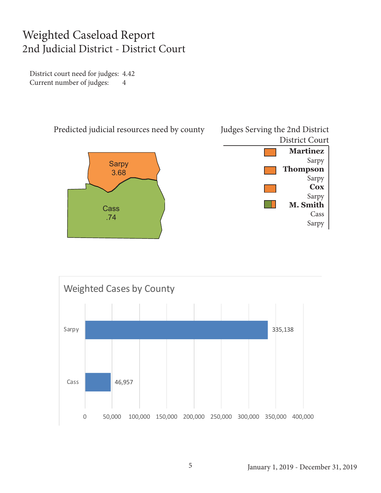#### Weighted Caseload Report 2nd Judicial District - District Court

District court need for judges: 4.42 Current number of judges: 4



Predicted judicial resources need by county





Judges Serving the 2nd District District Court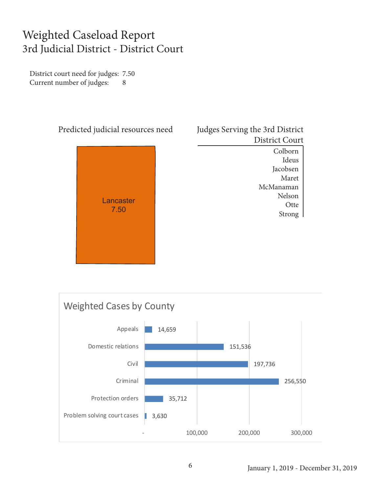#### Weighted Caseload Report 3rd Judicial District - District Court

District court need for judges: 7.50 Current number of judges: 8



Judges Serving the 3rd District District Court

> Colborn Ideus Jacobsen Maret McManaman Nelson **Otte** Strong

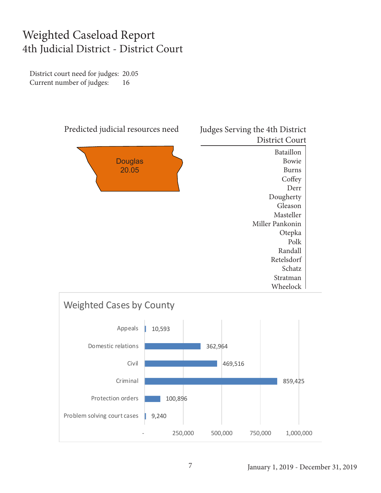#### Weighted Caseload Report 4th Judicial District - District Court

District court need for judges: 20.05 Current number of judges: 16



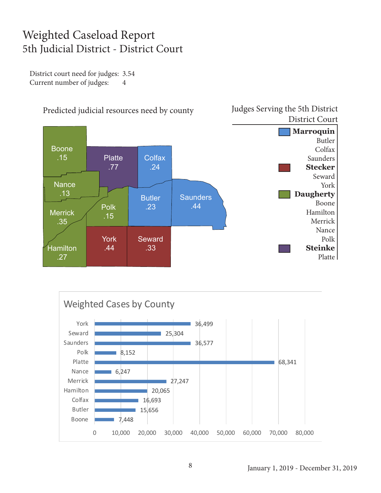#### Weighted Caseload Report 5th Judicial District - District Court

District court need for judges: 3.54 Current number of judges: 4



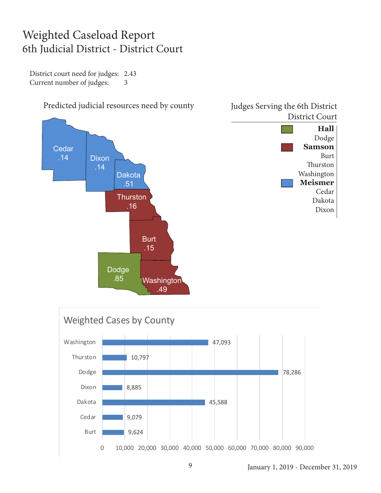#### Weighted Caseload Report 6th Judicial District - District Court

District court need for judges: 2.43 Current number of judges: 3







## Predicted judicial resources need by county Judges Serving the 6th District

January 1, 2019 - December 31, 2019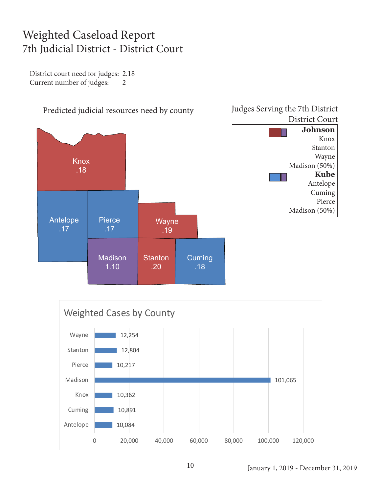#### Weighted Caseload Report 7th Judicial District - District Court

District court need for judges: 2.18 Current number of judges: 2



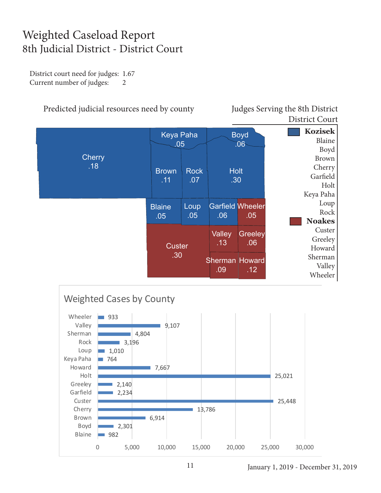#### Weighted Caseload Report 8th Judicial District - District Court

District court need for judges: 1.67 Current number of judges: 2

#### Predicted judicial resources need by county Judges Serving the 8th District

District Court





January 1, 2019 - December 31, 2019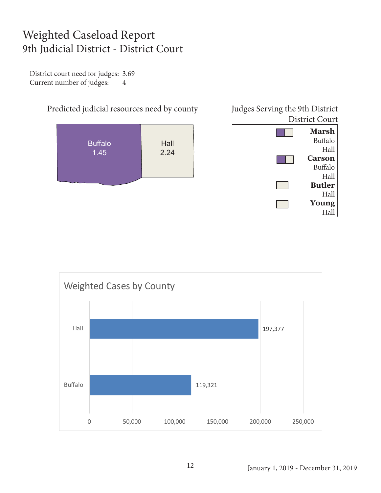#### Weighted Caseload Report 9th Judicial District - District Court

District court need for judges: 3.69 Current number of judges: 4



| <b>District Court</b> |                |
|-----------------------|----------------|
|                       | <b>Marsh</b>   |
|                       | <b>Buffalo</b> |
|                       | Hall           |
|                       | <b>Carson</b>  |
|                       | <b>Buffalo</b> |
|                       | Hall           |
|                       | <b>Butler</b>  |
|                       | Hall           |
|                       | Young          |
|                       |                |

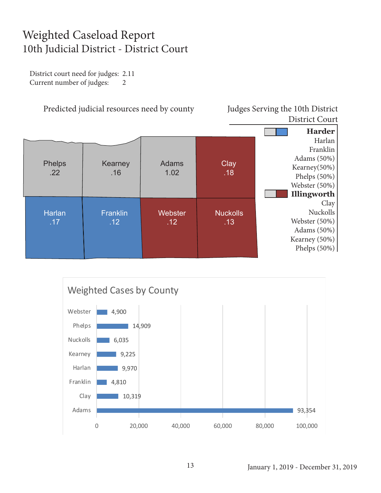#### Weighted Caseload Report 10th Judicial District - District Court

District court need for judges: 2.11 Current number of judges: 2



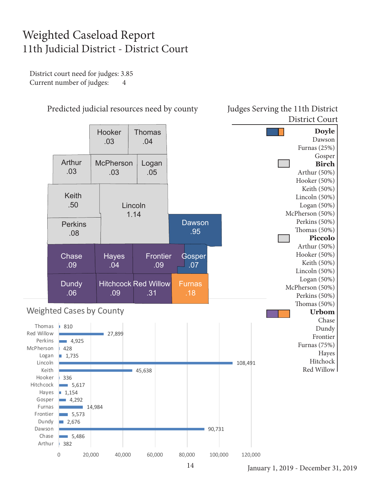#### Weighted Caseload Report 11th Judicial District - District Court

District court need for judges: 3.85 Current number of judges: 4